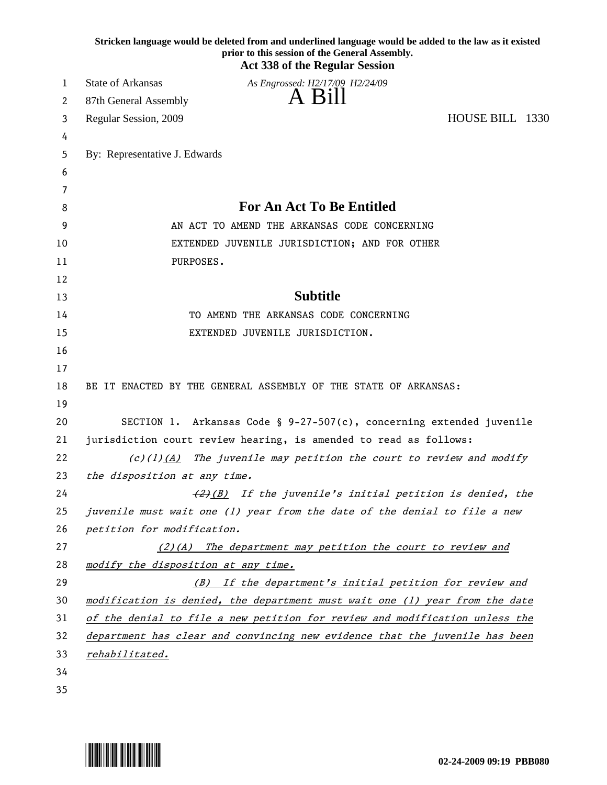|    | Stricken language would be deleted from and underlined language would be added to the law as it existed<br>prior to this session of the General Assembly.<br><b>Act 338 of the Regular Session</b> |  |
|----|----------------------------------------------------------------------------------------------------------------------------------------------------------------------------------------------------|--|
| 1  | <b>State of Arkansas</b><br>As Engrossed: H2/17/09 H2/24/09                                                                                                                                        |  |
| 2  | -Bill<br>87th General Assembly                                                                                                                                                                     |  |
| 3  | HOUSE BILL 1330<br>Regular Session, 2009                                                                                                                                                           |  |
| 4  |                                                                                                                                                                                                    |  |
| 5  | By: Representative J. Edwards                                                                                                                                                                      |  |
| 6  |                                                                                                                                                                                                    |  |
| 7  |                                                                                                                                                                                                    |  |
| 8  | <b>For An Act To Be Entitled</b>                                                                                                                                                                   |  |
| 9  | AN ACT TO AMEND THE ARKANSAS CODE CONCERNING                                                                                                                                                       |  |
| 10 | EXTENDED JUVENILE JURISDICTION; AND FOR OTHER                                                                                                                                                      |  |
| 11 | PURPOSES.                                                                                                                                                                                          |  |
| 12 |                                                                                                                                                                                                    |  |
| 13 | <b>Subtitle</b>                                                                                                                                                                                    |  |
| 14 | TO AMEND THE ARKANSAS CODE CONCERNING                                                                                                                                                              |  |
| 15 | EXTENDED JUVENILE JURISDICTION.                                                                                                                                                                    |  |
| 16 |                                                                                                                                                                                                    |  |
| 17 |                                                                                                                                                                                                    |  |
| 18 | BE IT ENACTED BY THE GENERAL ASSEMBLY OF THE STATE OF ARKANSAS:                                                                                                                                    |  |
| 19 |                                                                                                                                                                                                    |  |
| 20 | SECTION 1. Arkansas Code § $9-27-507(c)$ , concerning extended juvenile                                                                                                                            |  |
| 21 | jurisdiction court review hearing, is amended to read as follows:                                                                                                                                  |  |
| 22 | $(c)(1)$ (A) The juvenile may petition the court to review and modify                                                                                                                              |  |
| 23 | the disposition at any time.                                                                                                                                                                       |  |
| 24 | (2)(B) If the juvenile's initial petition is denied, the                                                                                                                                           |  |
| 25 | juvenile must wait one (1) year from the date of the denial to file a new                                                                                                                          |  |
| 26 | petition for modification.                                                                                                                                                                         |  |
| 27 | $(2)(A)$ The department may petition the court to review and                                                                                                                                       |  |
| 28 | modify the disposition at any time.                                                                                                                                                                |  |
| 29 | (B) If the department's initial petition for review and                                                                                                                                            |  |
| 30 | modification is denied, the department must wait one (1) year from the date                                                                                                                        |  |
| 31 | of the denial to file a new petition for review and modification unless the                                                                                                                        |  |
| 32 | department has clear and convincing new evidence that the juvenile has been                                                                                                                        |  |
| 33 | rehabilitated.                                                                                                                                                                                     |  |
| 34 |                                                                                                                                                                                                    |  |
| 35 |                                                                                                                                                                                                    |  |